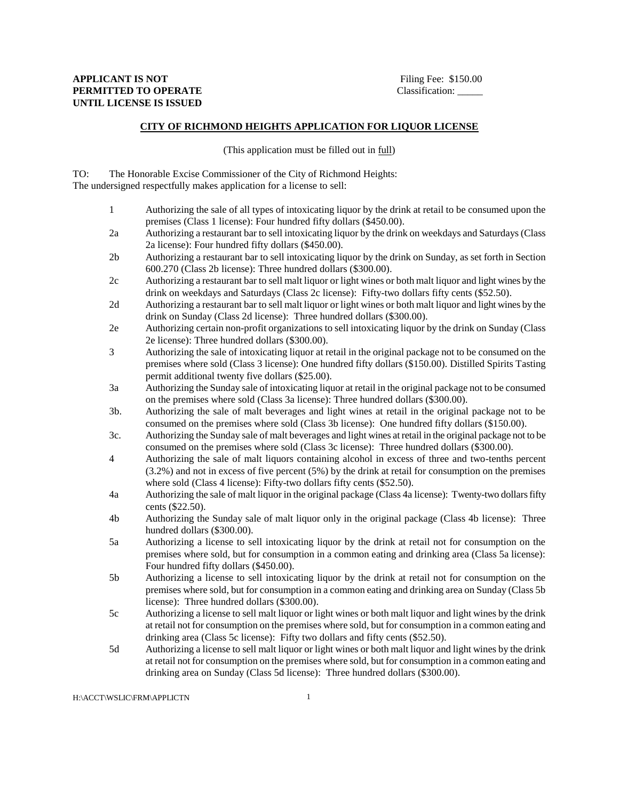## **CITY OF RICHMOND HEIGHTS APPLICATION FOR LIQUOR LICENSE**

(This application must be filled out in full)

TO: The Honorable Excise Commissioner of the City of Richmond Heights: The undersigned respectfully makes application for a license to sell:

- 1 Authorizing the sale of all types of intoxicating liquor by the drink at retail to be consumed upon the premises (Class 1 license): Four hundred fifty dollars (\$450.00).
- 2a Authorizing a restaurant bar to sell intoxicating liquor by the drink on weekdays and Saturdays (Class 2a license): Four hundred fifty dollars (\$450.00).
- 2b Authorizing a restaurant bar to sell intoxicating liquor by the drink on Sunday, as set forth in Section 600.270 (Class 2b license): Three hundred dollars (\$300.00).
- 2c Authorizing a restaurant bar to sell malt liquor or light wines or both malt liquor and light wines by the drink on weekdays and Saturdays (Class 2c license): Fifty-two dollars fifty cents (\$52.50).
- 2d Authorizing a restaurant bar to sell malt liquor or light wines or both malt liquor and light wines by the drink on Sunday (Class 2d license): Three hundred dollars (\$300.00).
- 2e Authorizing certain non-profit organizations to sell intoxicating liquor by the drink on Sunday (Class 2e license): Three hundred dollars (\$300.00).
- 3 Authorizing the sale of intoxicating liquor at retail in the original package not to be consumed on the premises where sold (Class 3 license): One hundred fifty dollars (\$150.00). Distilled Spirits Tasting permit additional twenty five dollars (\$25.00).
- 3a Authorizing the Sunday sale of intoxicating liquor at retail in the original package not to be consumed on the premises where sold (Class 3a license): Three hundred dollars (\$300.00).
- 3b. Authorizing the sale of malt beverages and light wines at retail in the original package not to be consumed on the premises where sold (Class 3b license): One hundred fifty dollars (\$150.00).
- 3c. Authorizing the Sunday sale of malt beverages and light wines at retail in the original package not to be consumed on the premises where sold (Class 3c license): Three hundred dollars (\$300.00).
- 4 Authorizing the sale of malt liquors containing alcohol in excess of three and two-tenths percent (3.2%) and not in excess of five percent (5%) by the drink at retail for consumption on the premises where sold (Class 4 license): Fifty-two dollars fifty cents (\$52.50).
- 4a Authorizing the sale of malt liquor in the original package (Class 4a license): Twenty-two dollars fifty cents (\$22.50).
- 4b Authorizing the Sunday sale of malt liquor only in the original package (Class 4b license): Three hundred dollars (\$300.00).
- 5a Authorizing a license to sell intoxicating liquor by the drink at retail not for consumption on the premises where sold, but for consumption in a common eating and drinking area (Class 5a license): Four hundred fifty dollars (\$450.00).
- 5b Authorizing a license to sell intoxicating liquor by the drink at retail not for consumption on the premises where sold, but for consumption in a common eating and drinking area on Sunday (Class 5b license): Three hundred dollars (\$300.00).
- 5c Authorizing a license to sell malt liquor or light wines or both malt liquor and light wines by the drink at retail not for consumption on the premises where sold, but for consumption in a common eating and drinking area (Class 5c license): Fifty two dollars and fifty cents (\$52.50).
- 5d Authorizing a license to sell malt liquor or light wines or both malt liquor and light wines by the drink at retail not for consumption on the premises where sold, but for consumption in a common eating and drinking area on Sunday (Class 5d license): Three hundred dollars (\$300.00).

H:\ACCT\WSLIC\FRM\APPLICTN 1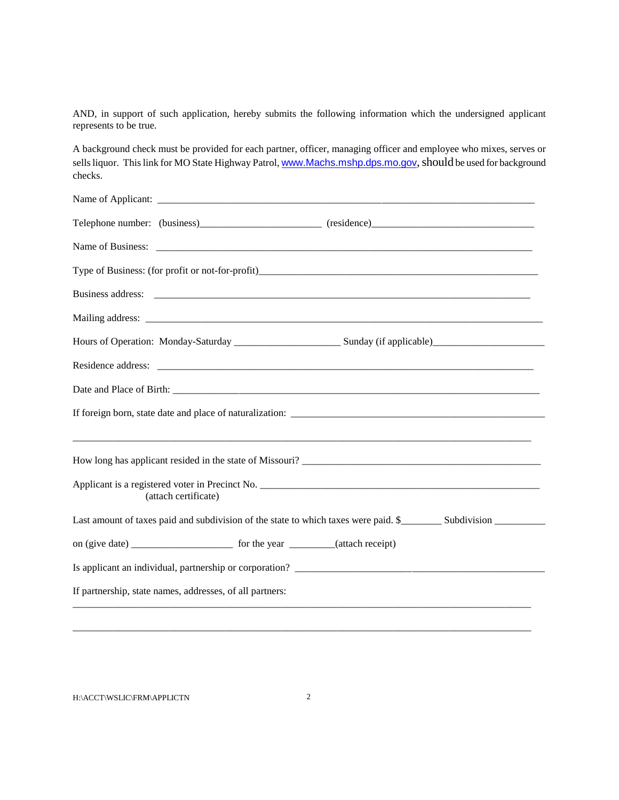AND, in support of such application, hereby submits the following information which the undersigned applicant represents to be true.

A background check must be provided for each partner, officer, managing officer and employee who mixes, serves or sells liquor. This link for MO State Highway Patrol, <www.Machs.mshp.dps.mo.gov>, should be used for background checks.

|                                                          | Telephone number: (business)____________________________ (residence)________________________________               |  |
|----------------------------------------------------------|--------------------------------------------------------------------------------------------------------------------|--|
|                                                          |                                                                                                                    |  |
|                                                          |                                                                                                                    |  |
|                                                          |                                                                                                                    |  |
|                                                          |                                                                                                                    |  |
|                                                          |                                                                                                                    |  |
|                                                          |                                                                                                                    |  |
|                                                          |                                                                                                                    |  |
|                                                          |                                                                                                                    |  |
|                                                          |                                                                                                                    |  |
| (attach certificate)                                     |                                                                                                                    |  |
|                                                          | Last amount of taxes paid and subdivision of the state to which taxes were paid. \$__________ Subdivision ________ |  |
|                                                          |                                                                                                                    |  |
|                                                          | Is applicant an individual, partnership or corporation?                                                            |  |
| If partnership, state names, addresses, of all partners: |                                                                                                                    |  |
|                                                          |                                                                                                                    |  |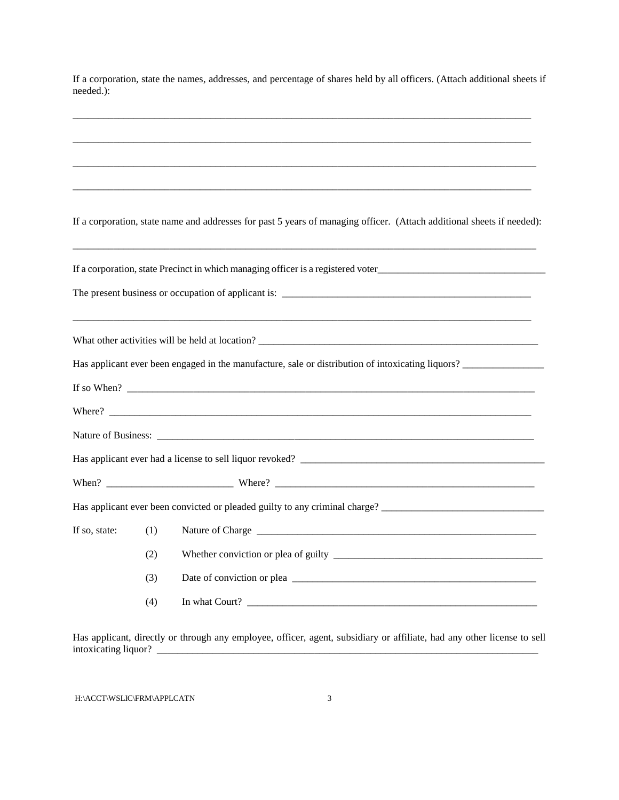If a corporation, state the names, addresses, and percentage of shares held by all officers. (Attach additional sheets if needed.):

|               |     | If a corporation, state name and addresses for past 5 years of managing officer. (Attach additional sheets if needed): |
|---------------|-----|------------------------------------------------------------------------------------------------------------------------|
|               |     |                                                                                                                        |
|               |     |                                                                                                                        |
|               |     |                                                                                                                        |
|               |     |                                                                                                                        |
|               |     | Has applicant ever been engaged in the manufacture, sale or distribution of intoxicating liquors?                      |
|               |     | If so When? $\qquad \qquad$                                                                                            |
|               |     |                                                                                                                        |
|               |     |                                                                                                                        |
|               |     |                                                                                                                        |
|               |     |                                                                                                                        |
|               |     |                                                                                                                        |
| If so, state: | (1) |                                                                                                                        |
|               | (2) |                                                                                                                        |
|               | (3) |                                                                                                                        |
|               | (4) |                                                                                                                        |
|               |     |                                                                                                                        |

Has applicant, directly or through any employee, officer, agent, subsidiary or affiliate, had any other license to sell intoxicating liquor? \_\_\_\_\_\_\_\_\_\_\_\_\_\_\_\_\_\_\_\_\_\_\_\_\_\_\_\_\_\_\_\_\_\_\_\_\_\_\_\_\_\_\_\_\_\_\_\_\_\_\_\_\_\_\_\_\_\_\_\_\_\_\_\_\_\_\_\_\_\_\_\_\_\_\_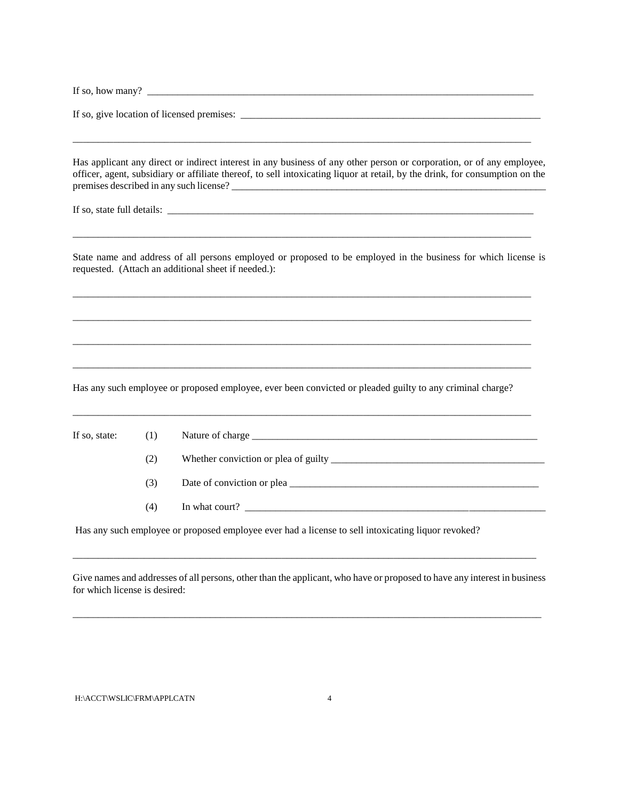| If so, | many<br>now |  |
|--------|-------------|--|
|        |             |  |

\_\_\_\_\_\_\_\_\_\_\_\_\_\_\_\_\_\_\_\_\_\_\_\_\_\_\_\_\_\_\_\_\_\_\_\_\_\_\_\_\_\_\_\_\_\_\_\_\_\_\_\_\_\_\_\_\_\_\_\_\_\_\_\_\_\_\_\_\_\_\_\_\_\_\_\_\_\_\_\_\_\_\_\_\_\_\_\_\_\_

If so, give location of licensed premises: \_\_\_\_\_\_\_\_\_\_\_\_\_\_\_\_\_\_\_\_\_\_\_\_\_\_\_\_\_\_\_\_\_\_\_\_\_\_\_\_\_\_\_\_\_\_\_\_\_\_\_\_\_\_\_\_\_\_\_

Has applicant any direct or indirect interest in any business of any other person or corporation, or of any employee, officer, agent, subsidiary or affiliate thereof, to sell intoxicating liquor at retail, by the drink, for consumption on the premises described in any such license? \_\_\_\_\_\_\_\_\_\_\_\_\_\_\_\_\_\_\_\_\_\_\_\_\_\_\_\_\_\_\_\_\_\_\_\_\_\_\_\_\_\_\_\_\_\_\_\_\_\_\_\_\_\_\_\_\_\_\_\_\_\_\_

If so, state full details: \_\_\_\_\_\_\_\_\_\_\_\_\_\_\_\_\_\_\_\_\_\_\_\_\_\_\_\_\_\_\_\_\_\_\_\_\_\_\_\_\_\_\_\_\_\_\_\_\_\_\_\_\_\_\_\_\_\_\_\_\_\_\_\_\_\_\_\_\_\_\_\_

State name and address of all persons employed or proposed to be employed in the business for which license is requested. (Attach an additional sheet if needed.):

\_\_\_\_\_\_\_\_\_\_\_\_\_\_\_\_\_\_\_\_\_\_\_\_\_\_\_\_\_\_\_\_\_\_\_\_\_\_\_\_\_\_\_\_\_\_\_\_\_\_\_\_\_\_\_\_\_\_\_\_\_\_\_\_\_\_\_\_\_\_\_\_\_\_\_\_\_\_\_\_\_\_\_\_\_\_\_\_\_\_

\_\_\_\_\_\_\_\_\_\_\_\_\_\_\_\_\_\_\_\_\_\_\_\_\_\_\_\_\_\_\_\_\_\_\_\_\_\_\_\_\_\_\_\_\_\_\_\_\_\_\_\_\_\_\_\_\_\_\_\_\_\_\_\_\_\_\_\_\_\_\_\_\_\_\_\_\_\_\_\_\_\_\_\_\_\_\_\_\_\_

\_\_\_\_\_\_\_\_\_\_\_\_\_\_\_\_\_\_\_\_\_\_\_\_\_\_\_\_\_\_\_\_\_\_\_\_\_\_\_\_\_\_\_\_\_\_\_\_\_\_\_\_\_\_\_\_\_\_\_\_\_\_\_\_\_\_\_\_\_\_\_\_\_\_\_\_\_\_\_\_\_\_\_\_\_\_\_\_\_\_

\_\_\_\_\_\_\_\_\_\_\_\_\_\_\_\_\_\_\_\_\_\_\_\_\_\_\_\_\_\_\_\_\_\_\_\_\_\_\_\_\_\_\_\_\_\_\_\_\_\_\_\_\_\_\_\_\_\_\_\_\_\_\_\_\_\_\_\_\_\_\_\_\_\_\_\_\_\_\_\_\_\_\_\_\_\_\_\_\_\_

Has any such employee or proposed employee, ever been convicted or pleaded guilty to any criminal charge?

\_\_\_\_\_\_\_\_\_\_\_\_\_\_\_\_\_\_\_\_\_\_\_\_\_\_\_\_\_\_\_\_\_\_\_\_\_\_\_\_\_\_\_\_\_\_\_\_\_\_\_\_\_\_\_\_\_\_\_\_\_\_\_\_\_\_\_\_\_\_\_\_\_\_\_\_\_\_\_\_\_\_\_\_\_\_\_\_\_\_

| If so, state: $(1)$ |     |                                                                                                                            |
|---------------------|-----|----------------------------------------------------------------------------------------------------------------------------|
|                     | (2) |                                                                                                                            |
|                     | (3) |                                                                                                                            |
|                     | (4) |                                                                                                                            |
|                     |     | . The common state and the common section of a section of state $11$ , and $11$ , and $11$ , and $11$ , $10$ , $11$ , $10$ |

Has any such employee or proposed employee ever had a license to sell intoxicating liquor revoked?

Give names and addresses of all persons, other than the applicant, who have or proposed to have any interest in business for which license is desired:

\_\_\_\_\_\_\_\_\_\_\_\_\_\_\_\_\_\_\_\_\_\_\_\_\_\_\_\_\_\_\_\_\_\_\_\_\_\_\_\_\_\_\_\_\_\_\_\_\_\_\_\_\_\_\_\_\_\_\_\_\_\_\_\_\_\_\_\_\_\_\_\_\_\_\_\_\_\_\_\_\_\_\_\_\_\_\_\_\_\_\_\_

\_\_\_\_\_\_\_\_\_\_\_\_\_\_\_\_\_\_\_\_\_\_\_\_\_\_\_\_\_\_\_\_\_\_\_\_\_\_\_\_\_\_\_\_\_\_\_\_\_\_\_\_\_\_\_\_\_\_\_\_\_\_\_\_\_\_\_\_\_\_\_\_\_\_\_\_\_\_\_\_\_\_\_\_\_\_\_\_\_\_\_

## H:\ACCT\WSLIC\FRM\APPLCATN 4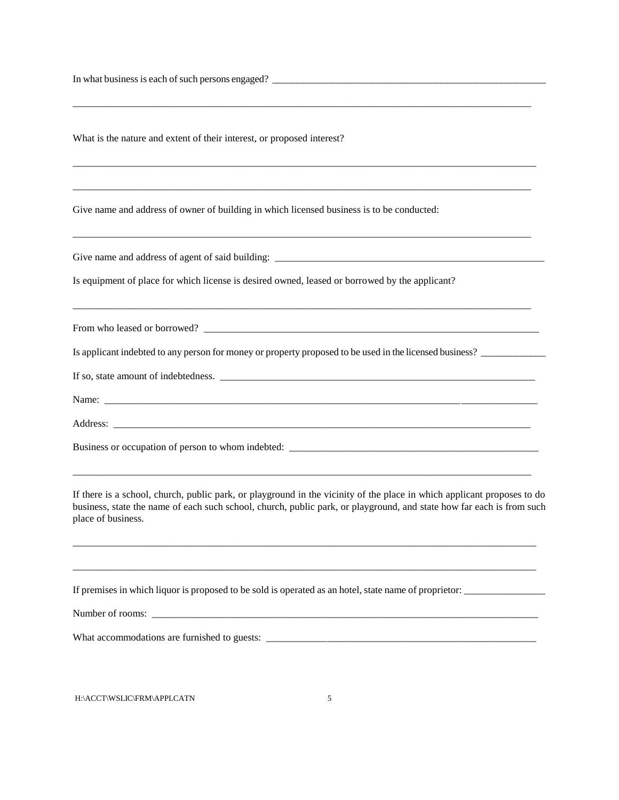In what business is each of such persons engaged? \_\_\_\_\_\_\_\_\_\_\_\_\_\_\_\_\_\_\_\_\_\_\_\_\_\_\_\_\_\_\_\_\_\_\_\_\_\_\_\_\_\_\_\_\_\_\_\_\_\_\_\_\_\_\_

| What is the nature and extent of their interest, or proposed interest?                                                                                                                                                                                                 |
|------------------------------------------------------------------------------------------------------------------------------------------------------------------------------------------------------------------------------------------------------------------------|
|                                                                                                                                                                                                                                                                        |
| Give name and address of owner of building in which licensed business is to be conducted:                                                                                                                                                                              |
|                                                                                                                                                                                                                                                                        |
| Is equipment of place for which license is desired owned, leased or borrowed by the applicant?                                                                                                                                                                         |
|                                                                                                                                                                                                                                                                        |
| Is applicant indebted to any person for money or property proposed to be used in the licensed business?                                                                                                                                                                |
|                                                                                                                                                                                                                                                                        |
|                                                                                                                                                                                                                                                                        |
|                                                                                                                                                                                                                                                                        |
|                                                                                                                                                                                                                                                                        |
| If there is a school, church, public park, or playground in the vicinity of the place in which applicant proposes to do<br>business, state the name of each such school, church, public park, or playground, and state how far each is from such<br>place of business. |
|                                                                                                                                                                                                                                                                        |
| If premises in which liquor is proposed to be sold is operated as an hotel, state name of proprietor:                                                                                                                                                                  |
|                                                                                                                                                                                                                                                                        |
|                                                                                                                                                                                                                                                                        |
|                                                                                                                                                                                                                                                                        |

\_\_\_\_\_\_\_\_\_\_\_\_\_\_\_\_\_\_\_\_\_\_\_\_\_\_\_\_\_\_\_\_\_\_\_\_\_\_\_\_\_\_\_\_\_\_\_\_\_\_\_\_\_\_\_\_\_\_\_\_\_\_\_\_\_\_\_\_\_\_\_\_\_\_\_\_\_\_\_\_\_\_\_\_\_\_\_\_\_\_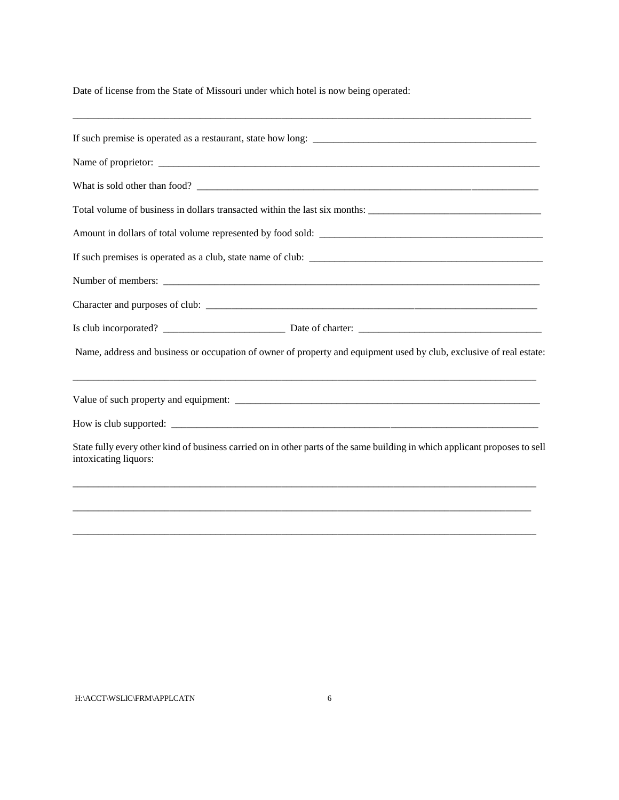Date of license from the State of Missouri under which hotel is now being operated:

| Name, address and business or occupation of owner of property and equipment used by club, exclusive of real estate:                                  |  |  |  |
|------------------------------------------------------------------------------------------------------------------------------------------------------|--|--|--|
|                                                                                                                                                      |  |  |  |
|                                                                                                                                                      |  |  |  |
| State fully every other kind of business carried on in other parts of the same building in which applicant proposes to sell<br>intoxicating liquors: |  |  |  |
|                                                                                                                                                      |  |  |  |
|                                                                                                                                                      |  |  |  |
|                                                                                                                                                      |  |  |  |

\_\_\_\_\_\_\_\_\_\_\_\_\_\_\_\_\_\_\_\_\_\_\_\_\_\_\_\_\_\_\_\_\_\_\_\_\_\_\_\_\_\_\_\_\_\_\_\_\_\_\_\_\_\_\_\_\_\_\_\_\_\_\_\_\_\_\_\_\_\_\_\_\_\_\_\_\_\_\_\_\_\_\_\_\_\_\_\_\_\_